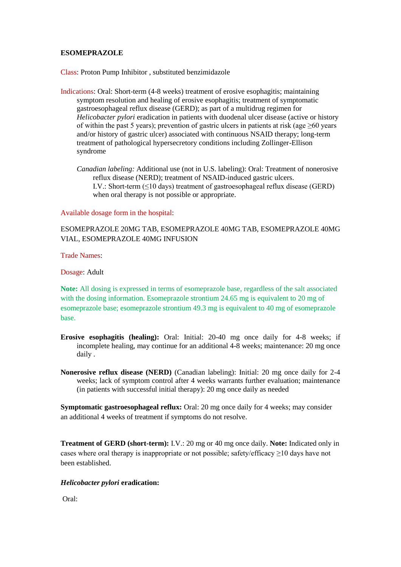# **ESOMEPRAZOLE**

Class: Proton Pump Inhibitor , substituted benzimidazole

- Indications: Oral: Short-term (4-8 weeks) treatment of erosive esophagitis; maintaining symptom resolution and healing of erosive esophagitis; treatment of symptomatic gastroesophageal reflux disease (GERD); as part of a multidrug regimen for *Helicobacter pylori* eradication in patients with duodenal ulcer disease (active or history of within the past 5 years); prevention of gastric ulcers in patients at risk (age  $\geq 60$  years and/or history of gastric ulcer) associated with continuous NSAID therapy; long-term treatment of pathological hypersecretory conditions including Zollinger-Ellison syndrome
	- *Canadian labeling:* Additional use (not in U.S. labeling): Oral: Treatment of nonerosive reflux disease (NERD); treatment of NSAID-induced gastric ulcers. I.V.: Short-term  $(\leq 10 \text{ days})$  treatment of gastroesophageal reflux disease (GERD) when oral therapy is not possible or appropriate.

Available dosage form in the hospital:

ESOMEPRAZOLE 20MG TAB, ESOMEPRAZOLE 40MG TAB, ESOMEPRAZOLE 40MG VIAL, ESOMEPRAZOLE 40MG INFUSION

Trade Names:

Dosage: Adult

**Note:** All dosing is expressed in terms of esomeprazole base, regardless of the salt associated with the dosing information. Esomeprazole strontium 24.65 mg is equivalent to 20 mg of esomeprazole base; esomeprazole strontium 49.3 mg is equivalent to 40 mg of esomeprazole base.

- **Erosive esophagitis (healing):** Oral: Initial: 20-40 mg once daily for 4-8 weeks; if incomplete healing, may continue for an additional 4-8 weeks; maintenance: 20 mg once daily .
- **Nonerosive reflux disease (NERD)** (Canadian labeling): Initial: 20 mg once daily for 2-4 weeks; lack of symptom control after 4 weeks warrants further evaluation; maintenance (in patients with successful initial therapy): 20 mg once daily as needed

**Symptomatic gastroesophageal reflux:** Oral: 20 mg once daily for 4 weeks; may consider an additional 4 weeks of treatment if symptoms do not resolve.

**Treatment of GERD (short-term):** I.V.: 20 mg or 40 mg once daily. **Note:** Indicated only in cases where oral therapy is inappropriate or not possible; safety/efficacy  $\geq$ 10 days have not been established.

# *Helicobacter pylori* **eradication:**

Oral: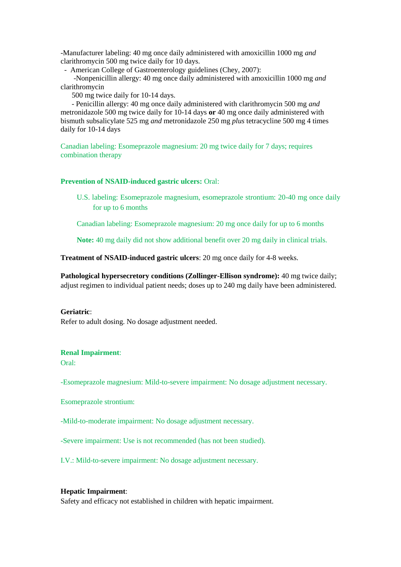-Manufacturer labeling: 40 mg once daily administered with amoxicillin 1000 mg *and* clarithromycin 500 mg twice daily for 10 days.

- American College of Gastroenterology guidelines (Chey, 2007):

 -Nonpenicillin allergy: 40 mg once daily administered with amoxicillin 1000 mg *and* clarithromycin

500 mg twice daily for 10-14 days.

 - Penicillin allergy: 40 mg once daily administered with clarithromycin 500 mg *and* metronidazole 500 mg twice daily for 10-14 days **or** 40 mg once daily administered with bismuth subsalicylate 525 mg *and* metronidazole 250 mg *plus* tetracycline 500 mg 4 times daily for 10-14 days

Canadian labeling: Esomeprazole magnesium: 20 mg twice daily for 7 days; requires combination therapy

### **Prevention of NSAID-induced gastric ulcers:** Oral:

U.S. labeling: Esomeprazole magnesium, esomeprazole strontium: 20-40 mg once daily for up to 6 months

Canadian labeling: Esomeprazole magnesium: 20 mg once daily for up to 6 months

**Note:** 40 mg daily did not show additional benefit over 20 mg daily in clinical trials.

**Treatment of NSAID-induced gastric ulcers**: 20 mg once daily for 4-8 weeks.

**Pathological hypersecretory conditions (Zollinger-Ellison syndrome):** 40 mg twice daily; adjust regimen to individual patient needs; doses up to 240 mg daily have been administered.

#### **Geriatric**:

Refer to adult dosing. No dosage adjustment needed.

# **Renal Impairment**:

Oral:

-Esomeprazole magnesium: Mild-to-severe impairment: No dosage adjustment necessary.

Esomeprazole strontium:

-Mild-to-moderate impairment: No dosage adjustment necessary.

-Severe impairment: Use is not recommended (has not been studied).

I.V.: Mild-to-severe impairment: No dosage adjustment necessary.

#### **Hepatic Impairment**:

Safety and efficacy not established in children with hepatic impairment.